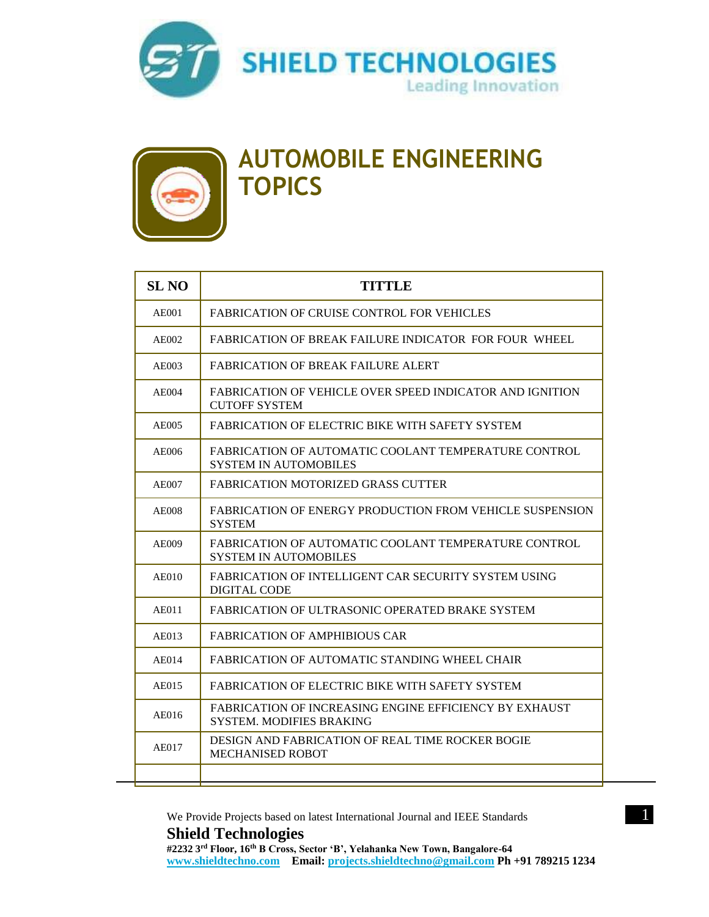



### **AUTOMOBILE ENGINEERING TOPICS**

| <b>SL NO</b> | <b>TITTLE</b>                                                                                    |
|--------------|--------------------------------------------------------------------------------------------------|
| <b>AE001</b> | <b>FABRICATION OF CRUISE CONTROL FOR VEHICLES</b>                                                |
| AE002        | FABRICATION OF BREAK FAILURE INDICATOR FOR FOUR WHEEL                                            |
| AE003        | FABRICATION OF BREAK FAILURE ALERT                                                               |
| AE004        | <b>FABRICATION OF VEHICLE OVER SPEED INDICATOR AND IGNITION</b><br><b>CUTOFF SYSTEM</b>          |
| AE005        | FABRICATION OF ELECTRIC BIKE WITH SAFETY SYSTEM                                                  |
| <b>AE006</b> | FABRICATION OF AUTOMATIC COOLANT TEMPERATURE CONTROL<br><b>SYSTEM IN AUTOMOBILES</b>             |
| AE007        | <b>FABRICATION MOTORIZED GRASS CUTTER</b>                                                        |
| AE008        | <b>FABRICATION OF ENERGY PRODUCTION FROM VEHICLE SUSPENSION</b><br><b>SYSTEM</b>                 |
| AE009        | FABRICATION OF AUTOMATIC COOLANT TEMPERATURE CONTROL<br><b>SYSTEM IN AUTOMOBILES</b>             |
| <b>AE010</b> | <b>FABRICATION OF INTELLIGENT CAR SECURITY SYSTEM USING</b><br><b>DIGITAL CODE</b>               |
| AE011        | FABRICATION OF ULTRASONIC OPERATED BRAKE SYSTEM                                                  |
| AE013        | <b>FABRICATION OF AMPHIBIOUS CAR</b>                                                             |
| AE014        | FABRICATION OF AUTOMATIC STANDING WHEEL CHAIR                                                    |
| AE015        | <b>FABRICATION OF ELECTRIC BIKE WITH SAFETY SYSTEM</b>                                           |
| AE016        | <b>FABRICATION OF INCREASING ENGINE EFFICIENCY BY EXHAUST</b><br><b>SYSTEM. MODIFIES BRAKING</b> |
| AE017        | DESIGN AND FABRICATION OF REAL TIME ROCKER BOGIE<br><b>MECHANISED ROBOT</b>                      |
|              |                                                                                                  |

We Provide Projects based on latest International Journal and IEEE Standards 1 **Shield Technologies #2232 3rd Floor, 16th B Cross, Sector 'B', Yelahanka New Town, Bangalore-64**

**[www.shieldtechno.com](http://www.shieldtechno.com/) Email: [projects.shieldtechno@gmail.com](mailto:projects.shieldtechno@gmail.com) Ph +91 789215 1234**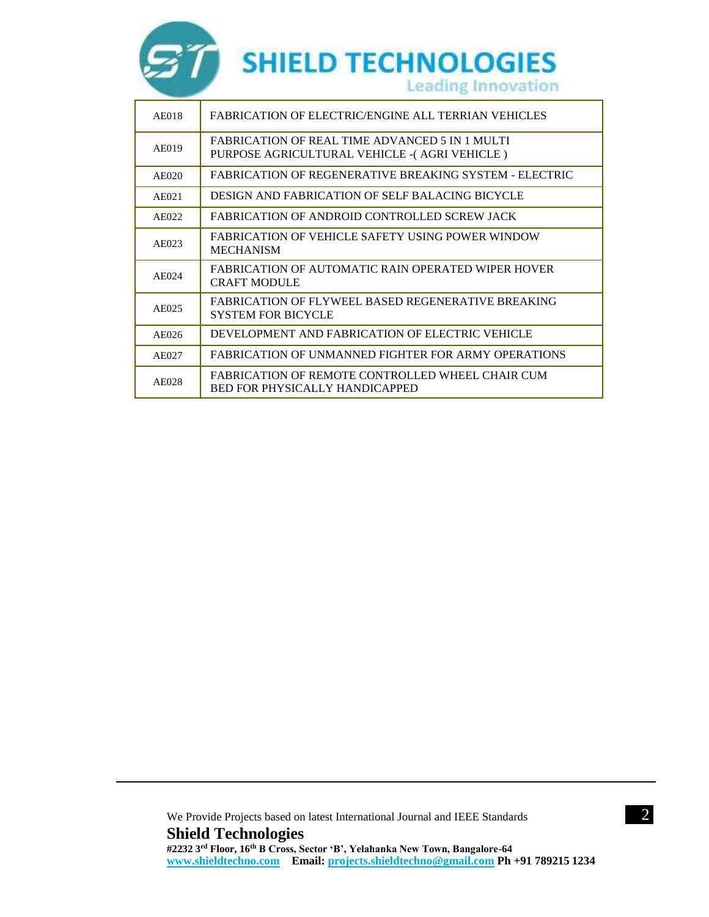

| AE018             | FABRICATION OF ELECTRIC/ENGINE ALL TERRIAN VEHICLES                                                    |
|-------------------|--------------------------------------------------------------------------------------------------------|
| AE019             | <b>FABRICATION OF REAL TIME ADVANCED 5 IN 1 MULTI</b><br>PURPOSE AGRICULTURAL VEHICLE - (AGRI VEHICLE) |
| AE020             | FABRICATION OF REGENERATIVE BREAKING SYSTEM - ELECTRIC                                                 |
| A E 021           | DESIGN AND FABRICATION OF SELF BALACING BICYCLE                                                        |
| AE022             | FABRICATION OF ANDROID CONTROLLED SCREW JACK                                                           |
| AE023             | <b>FABRICATION OF VEHICLE SAFETY USING POWER WINDOW</b><br><b>MECHANISM</b>                            |
| AF <sub>024</sub> | FABRICATION OF AUTOMATIC RAIN OPERATED WIPER HOVER<br><b>CRAFT MODULE</b>                              |
| AE025             | FABRICATION OF FLYWEEL BASED REGENERATIVE BREAKING<br><b>SYSTEM FOR BICYCLE</b>                        |
| AE026             | DEVELOPMENT AND FABRICATION OF ELECTRIC VEHICLE                                                        |
| AE027             | FABRICATION OF UNMANNED FIGHTER FOR ARMY OPERATIONS                                                    |
| AE028             | FABRICATION OF REMOTE CONTROLLED WHEEL CHAIR CUM<br><b>BED FOR PHYSICALLY HANDICAPPED</b>              |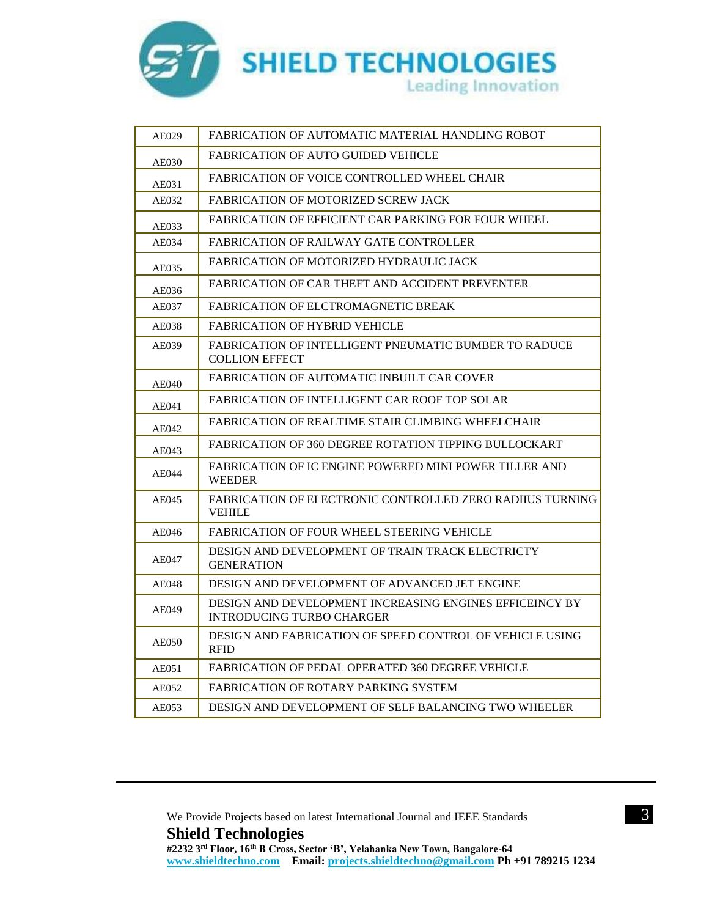

| AE029        | FABRICATION OF AUTOMATIC MATERIAL HANDLING ROBOT                                            |
|--------------|---------------------------------------------------------------------------------------------|
| AE030        | <b>FABRICATION OF AUTO GUIDED VEHICLE</b>                                                   |
| AE031        | <b>FABRICATION OF VOICE CONTROLLED WHEEL CHAIR</b>                                          |
| AE032        | <b>FABRICATION OF MOTORIZED SCREW JACK</b>                                                  |
| AE033        | <b>FABRICATION OF EFFICIENT CAR PARKING FOR FOUR WHEEL</b>                                  |
| AE034        | <b>FABRICATION OF RAILWAY GATE CONTROLLER</b>                                               |
| AE035        | FABRICATION OF MOTORIZED HYDRAULIC JACK                                                     |
| AE036        | FABRICATION OF CAR THEFT AND ACCIDENT PREVENTER                                             |
| AE037        | FABRICATION OF ELCTROMAGNETIC BREAK                                                         |
| AE038        | <b>FABRICATION OF HYBRID VEHICLE</b>                                                        |
| AE039        | <b>FABRICATION OF INTELLIGENT PNEUMATIC BUMBER TO RADUCE</b><br><b>COLLION EFFECT</b>       |
| <b>AE040</b> | FABRICATION OF AUTOMATIC INBUILT CAR COVER                                                  |
| AE041        | <b>FABRICATION OF INTELLIGENT CAR ROOF TOP SOLAR</b>                                        |
| AE042        | FABRICATION OF REALTIME STAIR CLIMBING WHEELCHAIR                                           |
| AE043        | <b>FABRICATION OF 360 DEGREE ROTATION TIPPING BULLOCKART</b>                                |
| AE044        | FABRICATION OF IC ENGINE POWERED MINI POWER TILLER AND<br><b>WEEDER</b>                     |
| AE045        | FABRICATION OF ELECTRONIC CONTROLLED ZERO RADIIUS TURNING<br>VEHILE                         |
| AE046        | <b>FABRICATION OF FOUR WHEEL STEERING VEHICLE</b>                                           |
| AE047        | DESIGN AND DEVELOPMENT OF TRAIN TRACK ELECTRICTY<br><b>GENERATION</b>                       |
| AE048        | DESIGN AND DEVELOPMENT OF ADVANCED JET ENGINE                                               |
| <b>AE049</b> | DESIGN AND DEVELOPMENT INCREASING ENGINES EFFICEINCY BY<br><b>INTRODUCING TURBO CHARGER</b> |
| <b>AE050</b> | DESIGN AND FABRICATION OF SPEED CONTROL OF VEHICLE USING<br><b>RFID</b>                     |
| AE051        | <b>FABRICATION OF PEDAL OPERATED 360 DEGREE VEHICLE</b>                                     |
| AE052        | FABRICATION OF ROTARY PARKING SYSTEM                                                        |
| AE053        | DESIGN AND DEVELOPMENT OF SELF BALANCING TWO WHEELER                                        |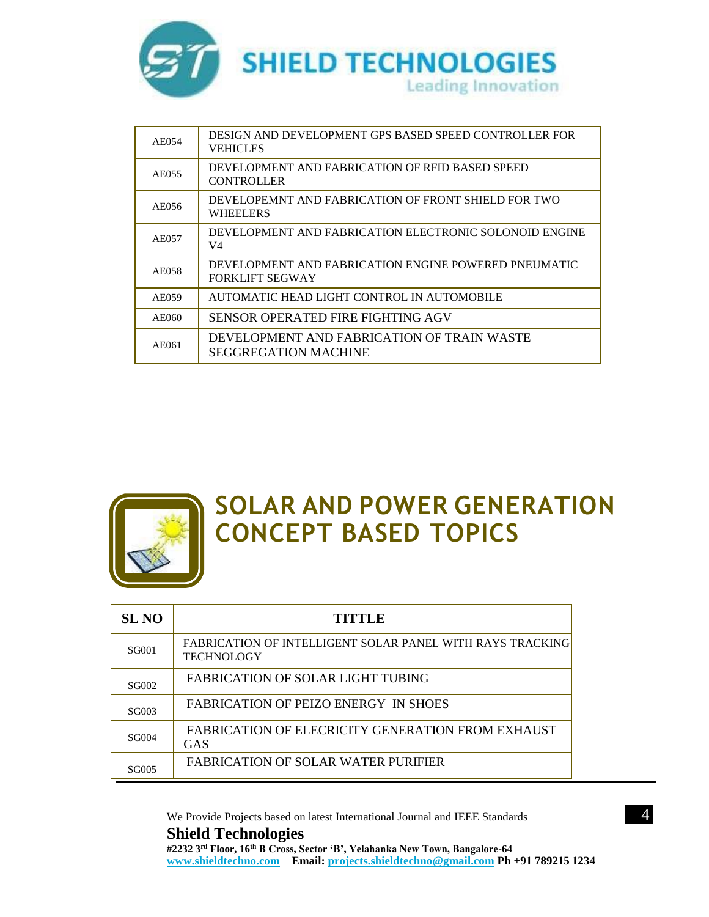

| AE054 | DESIGN AND DEVELOPMENT GPS BASED SPEED CONTROLLER FOR<br>VEHICLES              |
|-------|--------------------------------------------------------------------------------|
| AE055 | DEVELOPMENT AND FABRICATION OF RFID BASED SPEED<br><b>CONTROLLER</b>           |
| AE056 | DEVELOPEMNT AND FABRICATION OF FRONT SHIELD FOR TWO<br><b>WHEELERS</b>         |
| AE057 | DEVELOPMENT AND FABRICATION ELECTRONIC SOLONOID ENGINE<br>V4                   |
| AE058 | DEVELOPMENT AND FABRICATION ENGINE POWERED PNEUMATIC<br><b>FORKLIFT SEGWAY</b> |
| AE059 | AUTOMATIC HEAD LIGHT CONTROL IN AUTOMOBILE                                     |
| AE060 | SENSOR OPERATED FIRE FIGHTING AGV                                              |
| AE061 | DEVELOPMENT AND FABRICATION OF TRAIN WASTE<br>SEGGREGATION MACHINE             |



### **SOLAR AND POWER GENERATION CONCEPT BASED TOPICS**

| SL NO        | TITTLE                                                                  |
|--------------|-------------------------------------------------------------------------|
| <b>SG001</b> | FABRICATION OF INTELLIGENT SOLAR PANEL WITH RAYS TRACKING<br>TECHNOLOGY |
| SG002        | FABRICATION OF SOLAR LIGHT TUBING                                       |
| SG003        | FABRICATION OF PEIZO ENERGY IN SHOES                                    |
| SG004        | FABRICATION OF ELECRICITY GENERATION FROM EXHAUST<br>GAS                |
| SG005        | FABRICATION OF SOLAR WATER PURIFIER                                     |

We Provide Projects based on latest International Journal and IEEE Standards 44 **Shield Technologies #2232 3rd Floor, 16th B Cross, Sector 'B', Yelahanka New Town, Bangalore-64 [www.shieldtechno.com](http://www.shieldtechno.com/) Email: [projects.shieldtechno@gmail.com](mailto:projects.shieldtechno@gmail.com) Ph +91 789215 1234**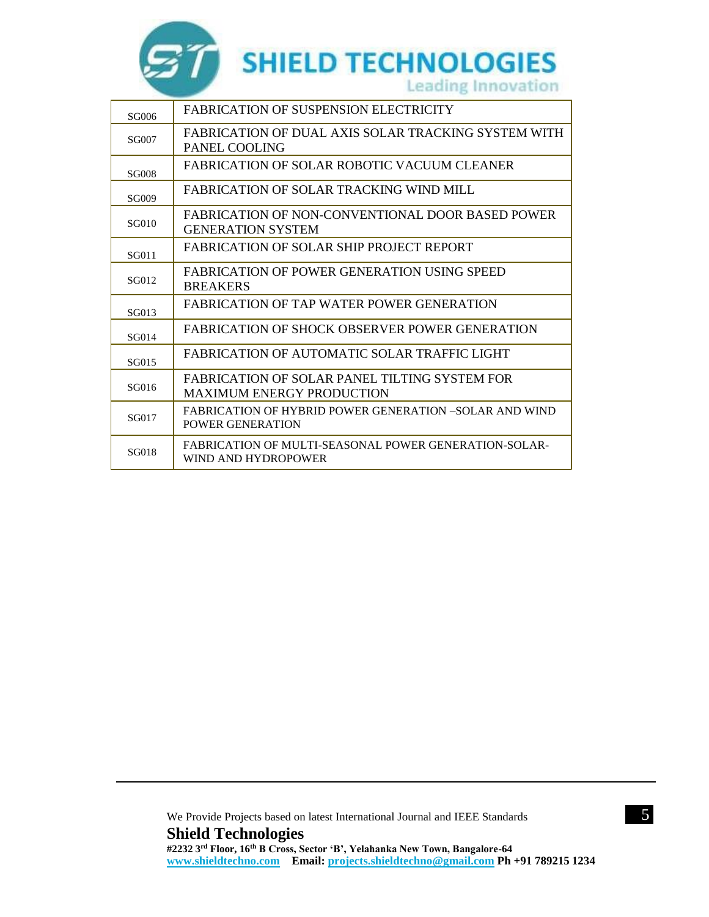

| SG006        | <b>FABRICATION OF SUSPENSION ELECTRICITY</b>                                        |
|--------------|-------------------------------------------------------------------------------------|
| <b>SG007</b> | FABRICATION OF DUAL AXIS SOLAR TRACKING SYSTEM WITH<br>PANEL COOLING                |
| <b>SG008</b> | <b>FABRICATION OF SOLAR ROBOTIC VACUUM CLEANER</b>                                  |
| SG009        | FABRICATION OF SOLAR TRACKING WIND MILL                                             |
| SG010        | <b>FABRICATION OF NON-CONVENTIONAL DOOR BASED POWER</b><br><b>GENERATION SYSTEM</b> |
| SG011        | FABRICATION OF SOLAR SHIP PROJECT REPORT                                            |
| SG012        | FABRICATION OF POWER GENERATION USING SPEED<br><b>BREAKERS</b>                      |
| SG013        | FABRICATION OF TAP WATER POWER GENERATION                                           |
| SG014        | FABRICATION OF SHOCK OBSERVER POWER GENERATION                                      |
| SG015        | FABRICATION OF AUTOMATIC SOLAR TRAFFIC LIGHT                                        |
| SG016        | FABRICATION OF SOLAR PANEL TILTING SYSTEM FOR<br><b>MAXIMUM ENERGY PRODUCTION</b>   |
| SG017        | FABRICATION OF HYBRID POWER GENERATION –SOLAR AND WIND<br>POWER GENERATION          |
| <b>SG018</b> | FABRICATION OF MULTI-SEASONAL POWER GENERATION-SOLAR-<br>WIND AND HYDROPOWER        |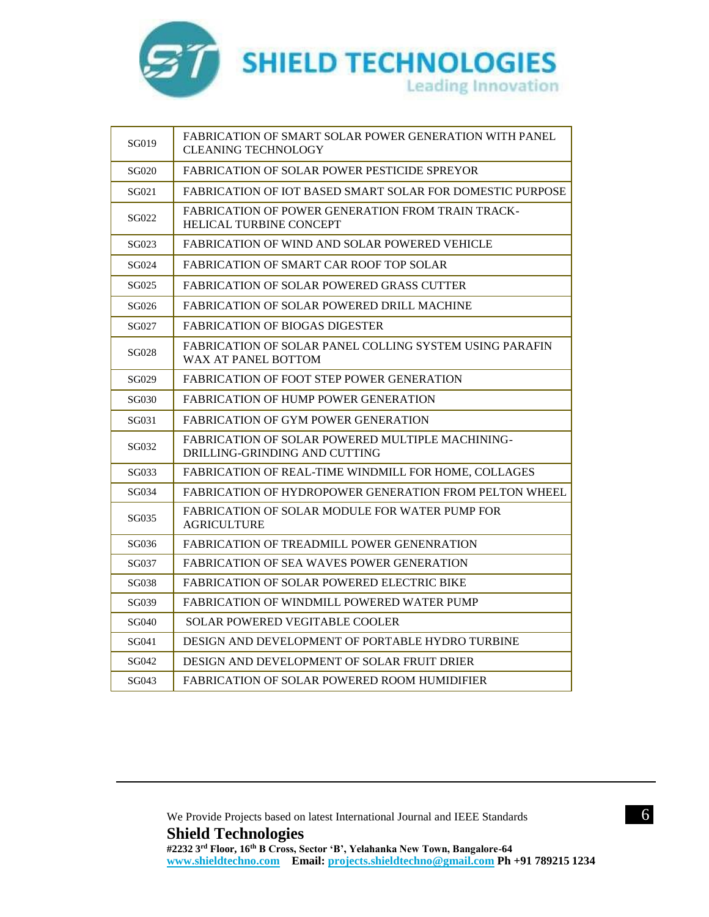

| SG019        | FABRICATION OF SMART SOLAR POWER GENERATION WITH PANEL<br><b>CLEANING TECHNOLOGY</b> |
|--------------|--------------------------------------------------------------------------------------|
| <b>SG020</b> | <b>FABRICATION OF SOLAR POWER PESTICIDE SPREYOR</b>                                  |
| SG021        | FABRICATION OF IOT BASED SMART SOLAR FOR DOMESTIC PURPOSE                            |
| SG022        | <b>FABRICATION OF POWER GENERATION FROM TRAIN TRACK-</b><br>HELICAL TURBINE CONCEPT  |
| SG023        | FABRICATION OF WIND AND SOLAR POWERED VEHICLE                                        |
| SG024        | FABRICATION OF SMART CAR ROOF TOP SOLAR                                              |
| SG025        | FABRICATION OF SOLAR POWERED GRASS CUTTER                                            |
| SG026        | FABRICATION OF SOLAR POWERED DRILL MACHINE                                           |
| SG027        | <b>FABRICATION OF BIOGAS DIGESTER</b>                                                |
| SG028        | FABRICATION OF SOLAR PANEL COLLING SYSTEM USING PARAFIN<br>WAX AT PANEL BOTTOM       |
| SG029        | FABRICATION OF FOOT STEP POWER GENERATION                                            |
| SG030        | FABRICATION OF HUMP POWER GENERATION                                                 |
| SG031        | FABRICATION OF GYM POWER GENERATION                                                  |
| SG032        | FABRICATION OF SOLAR POWERED MULTIPLE MACHINING-<br>DRILLING-GRINDING AND CUTTING    |
| SG033        | FABRICATION OF REAL-TIME WINDMILL FOR HOME. COLLAGES                                 |
| SG034        | <b>FABRICATION OF HYDROPOWER GENERATION FROM PELTON WHEEL</b>                        |
| SG035        | FABRICATION OF SOLAR MODULE FOR WATER PUMP FOR<br>AGRICULTURE                        |
| SG036        | FABRICATION OF TREADMILL POWER GENENRATION                                           |
| SG037        | FABRICATION OF SEA WAVES POWER GENERATION                                            |
| SG038        | FABRICATION OF SOLAR POWERED ELECTRIC BIKE                                           |
| SG039        | <b>FABRICATION OF WINDMILL POWERED WATER PUMP</b>                                    |
| SG040        | SOLAR POWERED VEGITABLE COOLER                                                       |
| SG041        | DESIGN AND DEVELOPMENT OF PORTABLE HYDRO TURBINE                                     |
| SG042        | DESIGN AND DEVELOPMENT OF SOLAR FRUIT DRIER                                          |
| SG043        | FABRICATION OF SOLAR POWERED ROOM HUMIDIFIER                                         |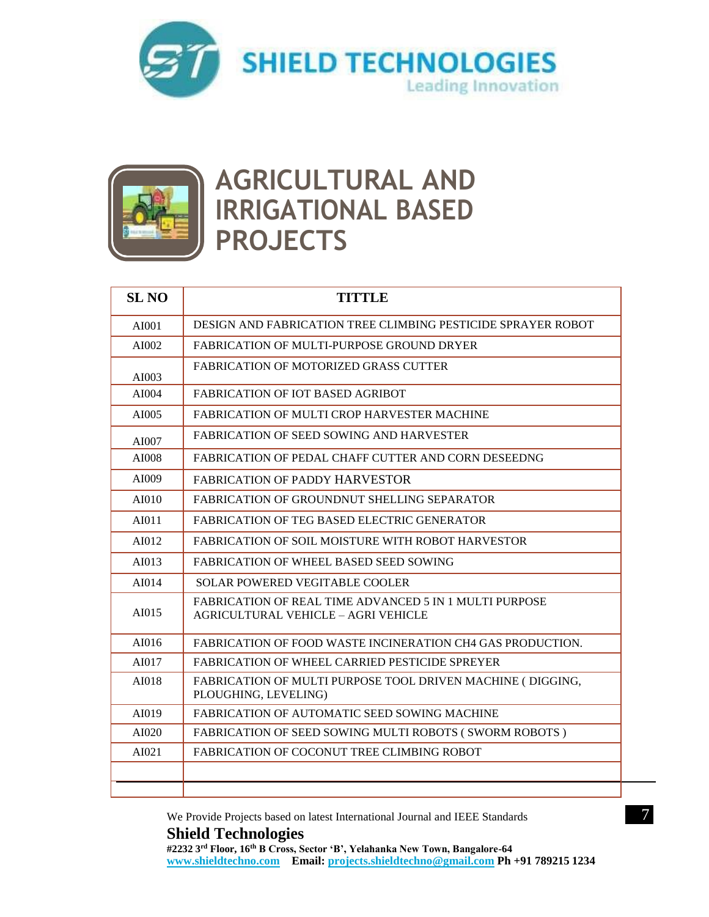



### **AGRICULTURAL AND IRRIGATIONAL BASED PROJECTS**

| <b>SL NO</b> | <b>TITTLE</b>                                                                                               |
|--------------|-------------------------------------------------------------------------------------------------------------|
| AI001        | DESIGN AND FABRICATION TREE CLIMBING PESTICIDE SPRAYER ROBOT                                                |
| AI002        | <b>FABRICATION OF MULTI-PURPOSE GROUND DRYER</b>                                                            |
| AI003        | <b>FABRICATION OF MOTORIZED GRASS CUTTER</b>                                                                |
| AI004        | <b>FABRICATION OF IOT BASED AGRIBOT</b>                                                                     |
| AI005        | <b>FABRICATION OF MULTI CROP HARVESTER MACHINE</b>                                                          |
| AI007        | <b>FABRICATION OF SEED SOWING AND HARVESTER</b>                                                             |
| AI008        | <b>FABRICATION OF PEDAL CHAFF CUTTER AND CORN DESEEDNG</b>                                                  |
| AI009        | <b>FABRICATION OF PADDY HARVESTOR</b>                                                                       |
| AI010        | FABRICATION OF GROUNDNUT SHELLING SEPARATOR                                                                 |
| AI011        | FABRICATION OF TEG BASED ELECTRIC GENERATOR                                                                 |
| AI012        | FABRICATION OF SOIL MOISTURE WITH ROBOT HARVESTOR                                                           |
| AI013        | FABRICATION OF WHEEL BASED SEED SOWING                                                                      |
| AI014        | <b>SOLAR POWERED VEGITABLE COOLER</b>                                                                       |
| AI015        | <b>FABRICATION OF REAL TIME ADVANCED 5 IN 1 MULTI PURPOSE</b><br><b>AGRICULTURAL VEHICLE - AGRI VEHICLE</b> |
| AI016        | <b>FABRICATION OF FOOD WASTE INCINERATION CH4 GAS PRODUCTION.</b>                                           |
| AI017        | <b>FABRICATION OF WHEEL CARRIED PESTICIDE SPREYER</b>                                                       |
| AI018        | FABRICATION OF MULTI PURPOSE TOOL DRIVEN MACHINE (DIGGING,<br>PLOUGHING, LEVELING)                          |
| AI019        | FABRICATION OF AUTOMATIC SEED SOWING MACHINE                                                                |
| AI020        | <b>FABRICATION OF SEED SOWING MULTI ROBOTS (SWORM ROBOTS)</b>                                               |
| AI021        | FABRICATION OF COCONUT TREE CLIMBING ROBOT                                                                  |
|              |                                                                                                             |
|              |                                                                                                             |

We Provide Projects based on latest International Journal and IEEE Standards 7

#### **Shield Technologies**

**#2232 3rd Floor, 16th B Cross, Sector 'B', Yelahanka New Town, Bangalore-64 [www.shieldtechno.com](http://www.shieldtechno.com/) Email: [projects.shieldtechno@gmail.com](mailto:projects.shieldtechno@gmail.com) Ph +91 789215 1234**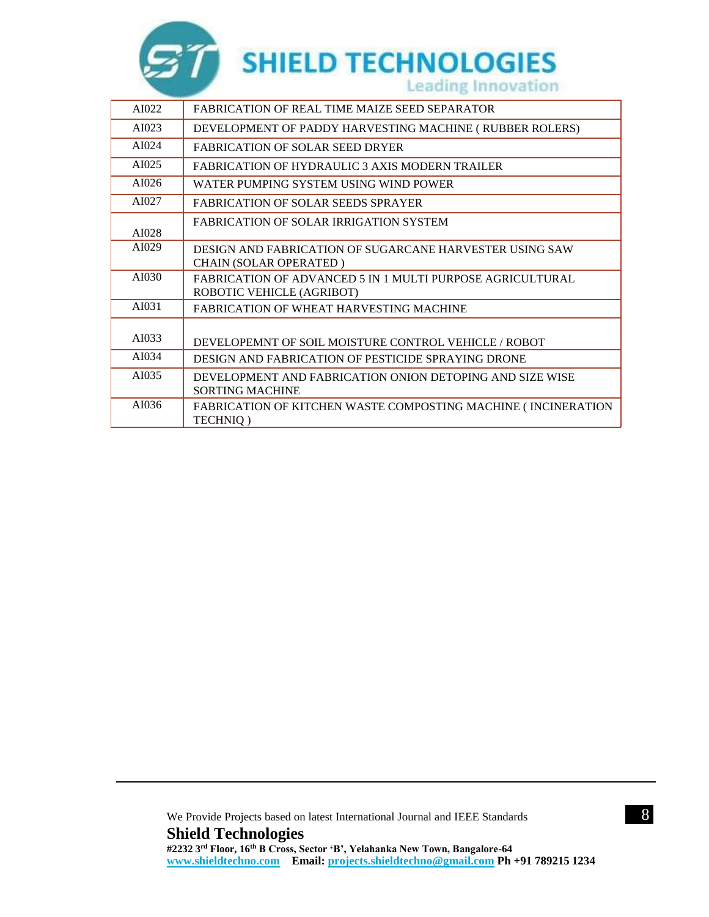

| AI022 | FABRICATION OF REAL TIME MAIZE SEED SEPARATOR                                          |
|-------|----------------------------------------------------------------------------------------|
| AI023 | DEVELOPMENT OF PADDY HARVESTING MACHINE (RUBBER ROLERS)                                |
| AI024 | <b>FABRICATION OF SOLAR SEED DRYER</b>                                                 |
| AI025 | <b>FABRICATION OF HYDRAULIC 3 AXIS MODERN TRAILER</b>                                  |
| AI026 | WATER PUMPING SYSTEM USING WIND POWER                                                  |
| AI027 | <b>FABRICATION OF SOLAR SEEDS SPRAYER</b>                                              |
| AI028 | <b>FABRICATION OF SOLAR IRRIGATION SYSTEM</b>                                          |
| AI029 | DESIGN AND FABRICATION OF SUGARCANE HARVESTER USING SAW<br>CHAIN (SOLAR OPERATED)      |
| AI030 | FABRICATION OF ADVANCED 5 IN 1 MULTI PURPOSE AGRICULTURAL<br>ROBOTIC VEHICLE (AGRIBOT) |
| AI031 | FABRICATION OF WHEAT HARVESTING MACHINE                                                |
| AI033 | DEVELOPEMNT OF SOIL MOISTURE CONTROL VEHICLE / ROBOT                                   |
| AI034 | DESIGN AND FABRICATION OF PESTICIDE SPRAYING DRONE                                     |
| AI035 | DEVELOPMENT AND FABRICATION ONION DETOPING AND SIZE WISE<br><b>SORTING MACHINE</b>     |
| AI036 | FABRICATION OF KITCHEN WASTE COMPOSTING MACHINE (INCINERATION<br>TECHNIQ)              |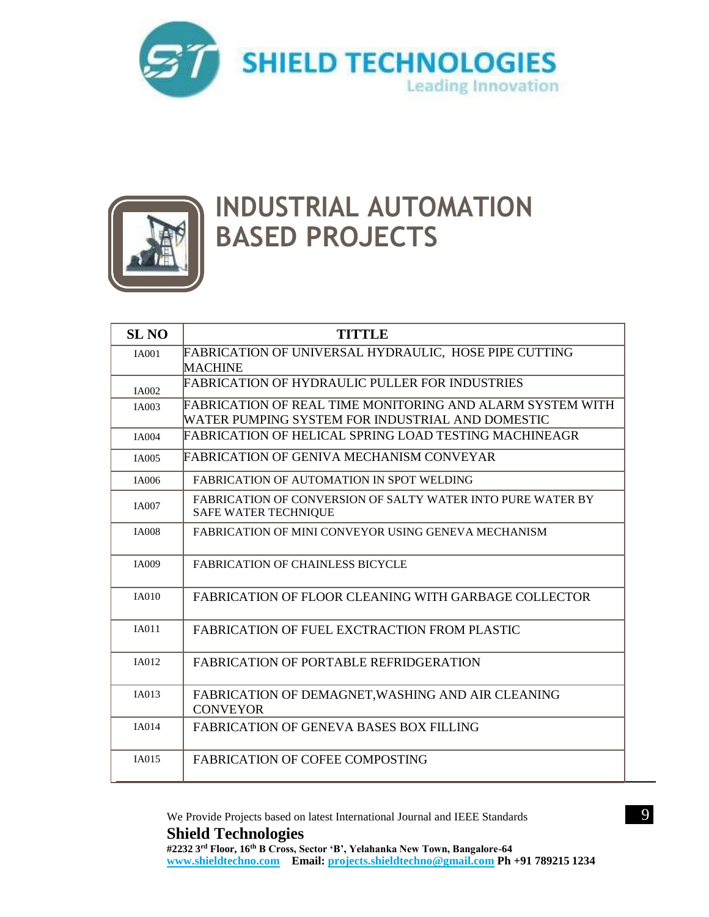



## **INDUSTRIAL AUTOMATION BASED PROJECTS**

| <b>SL NO</b> | <b>TITTLE</b>                                                                                                 |
|--------------|---------------------------------------------------------------------------------------------------------------|
| <b>IA001</b> | FABRICATION OF UNIVERSAL HYDRAULIC, HOSE PIPE CUTTING<br>MACHINE                                              |
| <b>IA002</b> | FABRICATION OF HYDRAULIC PULLER FOR INDUSTRIES                                                                |
| <b>IA003</b> | FABRICATION OF REAL TIME MONITORING AND ALARM SYSTEM WITH<br>WATER PUMPING SYSTEM FOR INDUSTRIAL AND DOMESTIC |
| <b>IA004</b> | FABRICATION OF HELICAL SPRING LOAD TESTING MACHINEAGR                                                         |
| <b>IA005</b> | FABRICATION OF GENIVA MECHANISM CONVEYAR                                                                      |
| IA006        | FABRICATION OF AUTOMATION IN SPOT WELDING                                                                     |
| <b>IA007</b> | <b>FABRICATION OF CONVERSION OF SALTY WATER INTO PURE WATER BY</b><br><b>SAFE WATER TECHNIQUE</b>             |
| <b>IA008</b> | <b>FABRICATION OF MINI CONVEYOR USING GENEVA MECHANISM</b>                                                    |
| <b>IA009</b> | <b>FABRICATION OF CHAINLESS BICYCLE</b>                                                                       |
| <b>IA010</b> | FABRICATION OF FLOOR CLEANING WITH GARBAGE COLLECTOR                                                          |
| <b>IA011</b> | FABRICATION OF FUEL EXCTRACTION FROM PLASTIC                                                                  |
| <b>IA012</b> | <b>FABRICATION OF PORTABLE REFRIDGERATION</b>                                                                 |
| <b>IA013</b> | FABRICATION OF DEMAGNET, WASHING AND AIR CLEANING<br><b>CONVEYOR</b>                                          |
| <b>IA014</b> | <b>FABRICATION OF GENEVA BASES BOX FILLING</b>                                                                |
| IA015        | <b>FABRICATION OF COFEE COMPOSTING</b>                                                                        |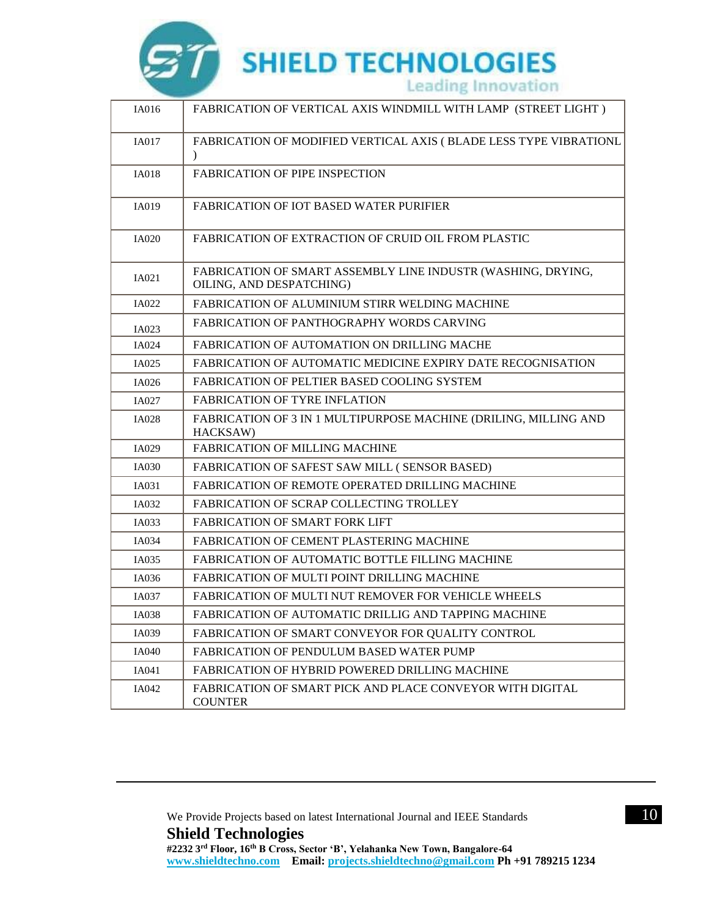

| IA016        | FABRICATION OF VERTICAL AXIS WINDMILL WITH LAMP (STREET LIGHT)                           |
|--------------|------------------------------------------------------------------------------------------|
| <b>IA017</b> | FABRICATION OF MODIFIED VERTICAL AXIS (BLADE LESS TYPE VIBRATIONL<br>$\mathcal{L}$       |
| <b>IA018</b> | <b>FABRICATION OF PIPE INSPECTION</b>                                                    |
| IA019        | <b>FABRICATION OF IOT BASED WATER PURIFIER</b>                                           |
| <b>IA020</b> | <b>FABRICATION OF EXTRACTION OF CRUID OIL FROM PLASTIC</b>                               |
| IA021        | FABRICATION OF SMART ASSEMBLY LINE INDUSTR (WASHING, DRYING,<br>OILING, AND DESPATCHING) |
| IA022        | FABRICATION OF ALUMINIUM STIRR WELDING MACHINE                                           |
| IA023        | <b>FABRICATION OF PANTHOGRAPHY WORDS CARVING</b>                                         |
| IA024        | FABRICATION OF AUTOMATION ON DRILLING MACHE                                              |
| IA025        | FABRICATION OF AUTOMATIC MEDICINE EXPIRY DATE RECOGNISATION                              |
| IA026        | FABRICATION OF PELTIER BASED COOLING SYSTEM                                              |
| IA027        | <b>FABRICATION OF TYRE INFLATION</b>                                                     |
| IA028        | FABRICATION OF 3 IN 1 MULTIPURPOSE MACHINE (DRILING, MILLING AND<br>HACKSAW)             |
| IA029        | <b>FABRICATION OF MILLING MACHINE</b>                                                    |
| IA030        | FABRICATION OF SAFEST SAW MILL (SENSOR BASED)                                            |
| IA031        | FABRICATION OF REMOTE OPERATED DRILLING MACHINE                                          |
| IA032        | <b>FABRICATION OF SCRAP COLLECTING TROLLEY</b>                                           |
| IA033        | <b>FABRICATION OF SMART FORK LIFT</b>                                                    |
| IA034        | FABRICATION OF CEMENT PLASTERING MACHINE                                                 |
| IA035        | <b>FABRICATION OF AUTOMATIC BOTTLE FILLING MACHINE</b>                                   |
| IA036        | FABRICATION OF MULTI POINT DRILLING MACHINE                                              |
| <b>IA037</b> | <b>FABRICATION OF MULTI NUT REMOVER FOR VEHICLE WHEELS</b>                               |
| IA038        | FABRICATION OF AUTOMATIC DRILLIG AND TAPPING MACHINE                                     |
| IA039        | FABRICATION OF SMART CONVEYOR FOR QUALITY CONTROL                                        |
| IA040        | FABRICATION OF PENDULUM BASED WATER PUMP                                                 |
| IA041        | <b>FABRICATION OF HYBRID POWERED DRILLING MACHINE</b>                                    |
| IA042        | FABRICATION OF SMART PICK AND PLACE CONVEYOR WITH DIGITAL<br><b>COUNTER</b>              |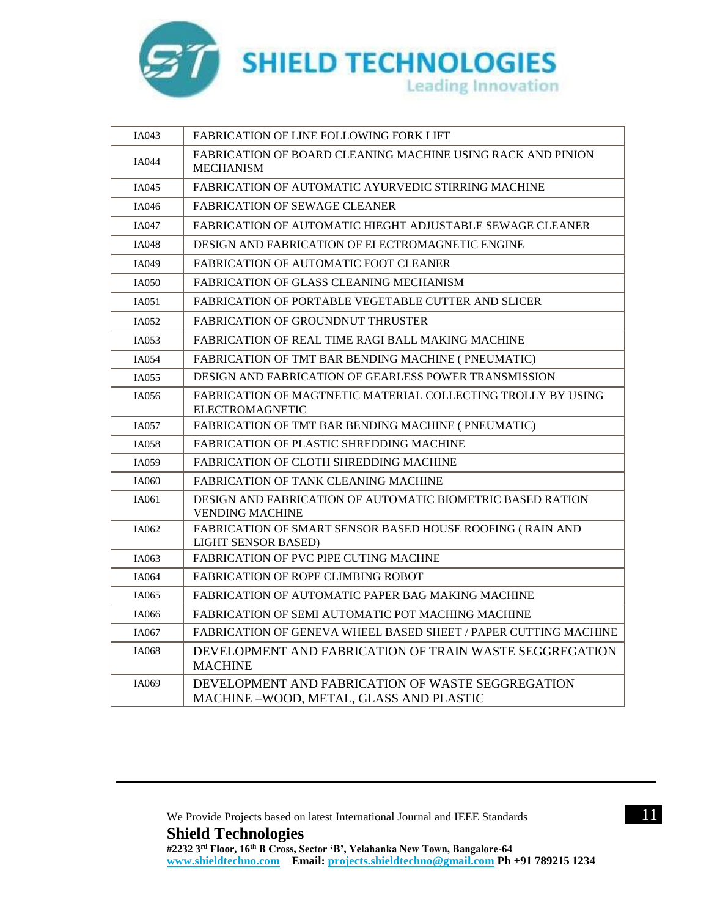

| IA043        | <b>FABRICATION OF LINE FOLLOWING FORK LIFT</b>                                               |
|--------------|----------------------------------------------------------------------------------------------|
| <b>IA044</b> | FABRICATION OF BOARD CLEANING MACHINE USING RACK AND PINION<br><b>MECHANISM</b>              |
| IA045        | FABRICATION OF AUTOMATIC AYURVEDIC STIRRING MACHINE                                          |
| IA046        | <b>FABRICATION OF SEWAGE CLEANER</b>                                                         |
| IA047        | FABRICATION OF AUTOMATIC HIEGHT ADJUSTABLE SEWAGE CLEANER                                    |
| IA048        | DESIGN AND FABRICATION OF ELECTROMAGNETIC ENGINE                                             |
| IA049        | FABRICATION OF AUTOMATIC FOOT CLEANER                                                        |
| IA050        | FABRICATION OF GLASS CLEANING MECHANISM                                                      |
| IA051        | <b>FABRICATION OF PORTABLE VEGETABLE CUTTER AND SLICER</b>                                   |
| IA052        | <b>FABRICATION OF GROUNDNUT THRUSTER</b>                                                     |
| IA053        | FABRICATION OF REAL TIME RAGI BALL MAKING MACHINE                                            |
| IA054        | FABRICATION OF TMT BAR BENDING MACHINE ( PNEUMATIC)                                          |
| IA055        | <b>DESIGN AND FABRICATION OF GEARLESS POWER TRANSMISSION</b>                                 |
| IA056        | FABRICATION OF MAGTNETIC MATERIAL COLLECTING TROLLY BY USING<br><b>ELECTROMAGNETIC</b>       |
| IA057        | FABRICATION OF TMT BAR BENDING MACHINE (PNEUMATIC)                                           |
| <b>IA058</b> | <b>FABRICATION OF PLASTIC SHREDDING MACHINE</b>                                              |
| IA059        | FABRICATION OF CLOTH SHREDDING MACHINE                                                       |
| IA060        | FABRICATION OF TANK CLEANING MACHINE                                                         |
| IA061        | DESIGN AND FABRICATION OF AUTOMATIC BIOMETRIC BASED RATION<br><b>VENDING MACHINE</b>         |
| IA062        | FABRICATION OF SMART SENSOR BASED HOUSE ROOFING (RAIN AND<br><b>LIGHT SENSOR BASED)</b>      |
| IA063        | <b>FABRICATION OF PVC PIPE CUTING MACHNE</b>                                                 |
| IA064        | <b>FABRICATION OF ROPE CLIMBING ROBOT</b>                                                    |
| IA065        | FABRICATION OF AUTOMATIC PAPER BAG MAKING MACHINE                                            |
| IA066        | FABRICATION OF SEMI AUTOMATIC POT MACHING MACHINE                                            |
| IA067        | FABRICATION OF GENEVA WHEEL BASED SHEET / PAPER CUTTING MACHINE                              |
| IA068        | DEVELOPMENT AND FABRICATION OF TRAIN WASTE SEGGREGATION<br><b>MACHINE</b>                    |
| IA069        | DEVELOPMENT AND FABRICATION OF WASTE SEGGREGATION<br>MACHINE -WOOD, METAL, GLASS AND PLASTIC |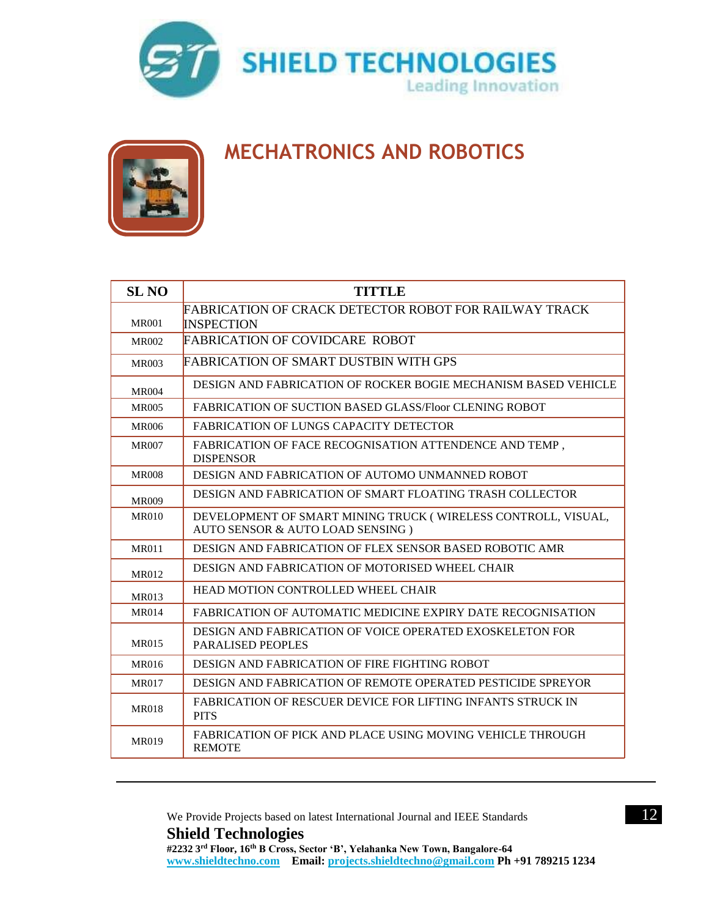



#### **MECHATRONICS AND ROBOTICS**

| <b>SL NO</b> | <b>TITTLE</b>                                                                                     |
|--------------|---------------------------------------------------------------------------------------------------|
| <b>MR001</b> | <b>FABRICATION OF CRACK DETECTOR ROBOT FOR RAILWAY TRACK</b><br><b>INSPECTION</b>                 |
| MR002        | <b>FABRICATION OF COVIDCARE ROBOT</b>                                                             |
| MR003        | <b>FABRICATION OF SMART DUSTBIN WITH GPS</b>                                                      |
| <b>MR004</b> | DESIGN AND FABRICATION OF ROCKER BOGIE MECHANISM BASED VEHICLE                                    |
| <b>MR005</b> | <b>FABRICATION OF SUCTION BASED GLASS/Floor CLENING ROBOT</b>                                     |
| MR006        | <b>FABRICATION OF LUNGS CAPACITY DETECTOR</b>                                                     |
| MR007        | FABRICATION OF FACE RECOGNISATION ATTENDENCE AND TEMP,<br><b>DISPENSOR</b>                        |
| <b>MR008</b> | DESIGN AND FABRICATION OF AUTOMO UNMANNED ROBOT                                                   |
| <b>MR009</b> | DESIGN AND FABRICATION OF SMART FLOATING TRASH COLLECTOR                                          |
| <b>MR010</b> | DEVELOPMENT OF SMART MINING TRUCK (WIRELESS CONTROLL, VISUAL,<br>AUTO SENSOR & AUTO LOAD SENSING) |
| <b>MR011</b> | DESIGN AND FABRICATION OF FLEX SENSOR BASED ROBOTIC AMR                                           |
| <b>MR012</b> | DESIGN AND FABRICATION OF MOTORISED WHEEL CHAIR                                                   |
| <b>MR013</b> | HEAD MOTION CONTROLLED WHEEL CHAIR                                                                |
| <b>MR014</b> | FABRICATION OF AUTOMATIC MEDICINE EXPIRY DATE RECOGNISATION                                       |
| <b>MR015</b> | DESIGN AND FABRICATION OF VOICE OPERATED EXOSKELETON FOR<br><b>PARALISED PEOPLES</b>              |
| <b>MR016</b> | DESIGN AND FABRICATION OF FIRE FIGHTING ROBOT                                                     |
| <b>MR017</b> | DESIGN AND FABRICATION OF REMOTE OPERATED PESTICIDE SPREYOR                                       |
| <b>MR018</b> | <b>FABRICATION OF RESCUER DEVICE FOR LIFTING INFANTS STRUCK IN</b><br><b>PITS</b>                 |
| <b>MR019</b> | <b>FABRICATION OF PICK AND PLACE USING MOVING VEHICLE THROUGH</b><br><b>REMOTE</b>                |

We Provide Projects based on latest International Journal and IEEE Standards 12 **Shield Technologies #2232 3rd Floor, 16th B Cross, Sector 'B', Yelahanka New Town, Bangalore-64 [www.shieldtechno.com](http://www.shieldtechno.com/) Email: [projects.shieldtechno@gmail.com](mailto:projects.shieldtechno@gmail.com) Ph +91 789215 1234**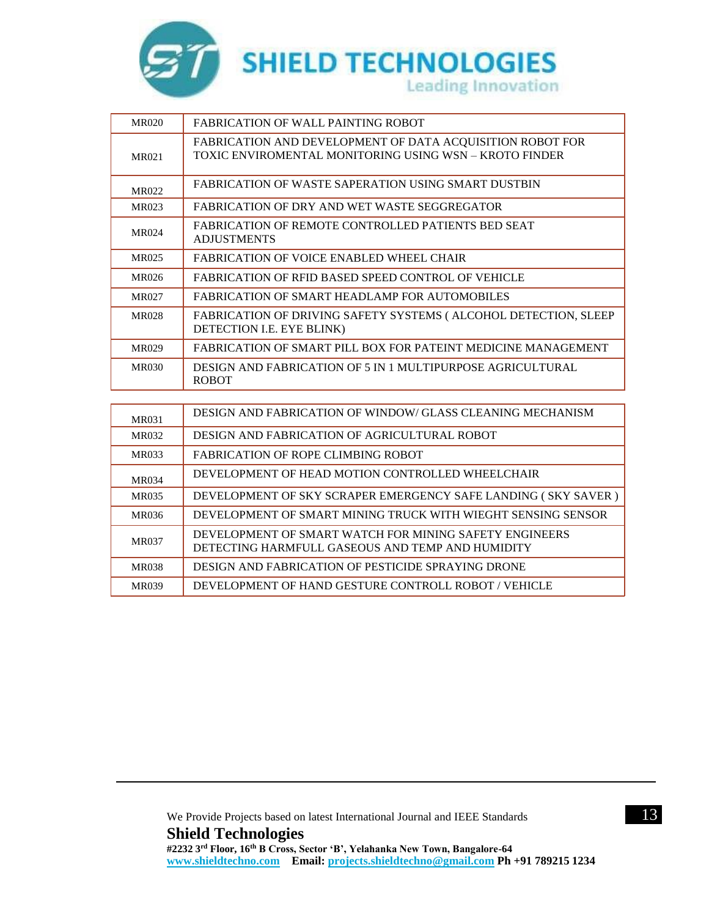

| <b>MR020</b> | <b>FABRICATION OF WALL PAINTING ROBOT</b>                                                                           |
|--------------|---------------------------------------------------------------------------------------------------------------------|
| MR021        | FABRICATION AND DEVELOPMENT OF DATA ACQUISITION ROBOT FOR<br>TOXIC ENVIROMENTAL MONITORING USING WSN - KROTO FINDER |
| MR022        | <b>FABRICATION OF WASTE SAPERATION USING SMART DUSTBIN</b>                                                          |
| <b>MR023</b> | FABRICATION OF DRY AND WET WASTE SEGGREGATOR                                                                        |
| MR024        | <b>FABRICATION OF REMOTE CONTROLLED PATIENTS BED SEAT</b><br><b>ADJUSTMENTS</b>                                     |
| MR025        | FABRICATION OF VOICE ENABLED WHEEL CHAIR                                                                            |
| <b>MR026</b> | FABRICATION OF RFID BASED SPEED CONTROL OF VEHICLE                                                                  |
| MR027        | FABRICATION OF SMART HEADLAMP FOR AUTOMOBILES                                                                       |
| <b>MR028</b> | FABRICATION OF DRIVING SAFETY SYSTEMS (ALCOHOL DETECTION, SLEEP<br>DETECTION I.E. EYE BLINK)                        |
| <b>MR029</b> | FABRICATION OF SMART PILL BOX FOR PATEINT MEDICINE MANAGEMENT                                                       |
| <b>MR030</b> | DESIGN AND FABRICATION OF 5 IN 1 MULTIPURPOSE AGRICULTURAL<br><b>ROBOT</b>                                          |
|              |                                                                                                                     |

| MR031        | DESIGN AND FABRICATION OF WINDOW/GLASS CLEANING MECHANISM                                                  |
|--------------|------------------------------------------------------------------------------------------------------------|
| <b>MR032</b> | DESIGN AND FABRICATION OF AGRICULTURAL ROBOT                                                               |
| <b>MR033</b> | FABRICATION OF ROPE CLIMBING ROBOT                                                                         |
| <b>MR034</b> | DEVELOPMENT OF HEAD MOTION CONTROLLED WHEELCHAIR                                                           |
| <b>MR035</b> | DEVELOPMENT OF SKY SCRAPER EMERGENCY SAFE LANDING (SKY SAVER)                                              |
| MR036        | DEVELOPMENT OF SMART MINING TRUCK WITH WIEGHT SENSING SENSOR                                               |
| <b>MR037</b> | DEVELOPMENT OF SMART WATCH FOR MINING SAFETY ENGINEERS<br>DETECTING HARMFULL GASEOUS AND TEMP AND HUMIDITY |
| <b>MR038</b> | DESIGN AND FABRICATION OF PESTICIDE SPRAYING DRONE                                                         |
| <b>MR039</b> | DEVELOPMENT OF HAND GESTURE CONTROLL ROBOT / VEHICLE                                                       |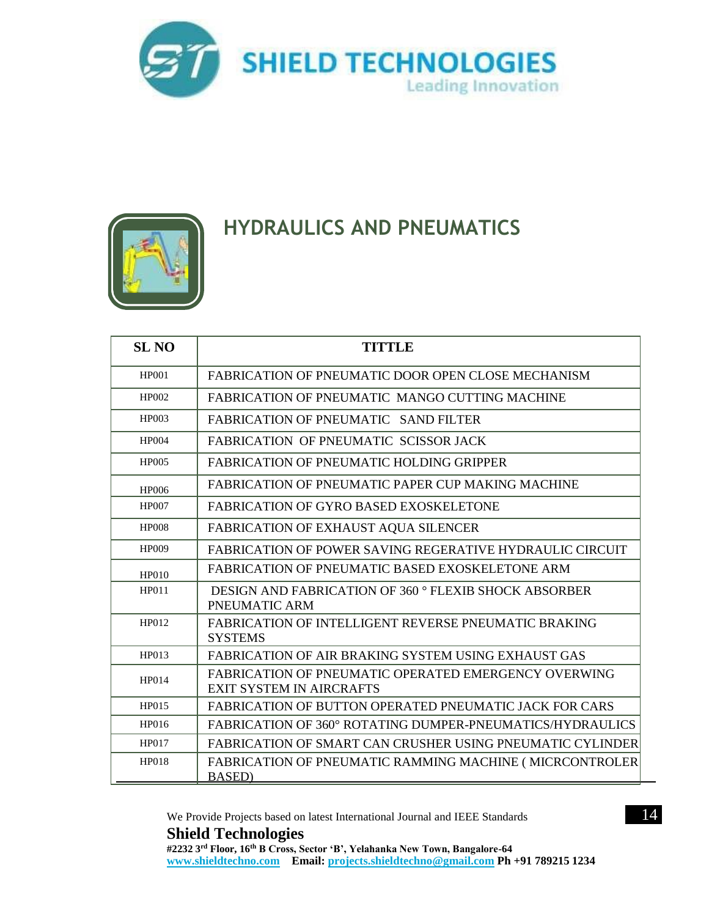



#### **HYDRAULICS AND PNEUMATICS**

| <b>SL NO</b> | <b>TITTLE</b>                                                                           |
|--------------|-----------------------------------------------------------------------------------------|
| <b>HP001</b> | <b>FABRICATION OF PNEUMATIC DOOR OPEN CLOSE MECHANISM</b>                               |
| HP002        | FABRICATION OF PNEUMATIC MANGO CUTTING MACHINE                                          |
| HP003        | FABRICATION OF PNEUMATIC SAND FILTER                                                    |
| HP004        | FABRICATION OF PNEUMATIC SCISSOR JACK                                                   |
| <b>HP005</b> | <b>FABRICATION OF PNEUMATIC HOLDING GRIPPER</b>                                         |
| <b>HP006</b> | <b>FABRICATION OF PNEUMATIC PAPER CUP MAKING MACHINE</b>                                |
| <b>HP007</b> | <b>FABRICATION OF GYRO BASED EXOSKELETONE</b>                                           |
| <b>HP008</b> | <b>FABRICATION OF EXHAUST AQUA SILENCER</b>                                             |
| <b>HP009</b> | <b>FABRICATION OF POWER SAVING REGERATIVE HYDRAULIC CIRCUIT</b>                         |
| HP010        | FABRICATION OF PNEUMATIC BASED EXOSKELETONE ARM                                         |
| HP011        | DESIGN AND FABRICATION OF 360 ° FLEXIB SHOCK ABSORBER<br>PNEUMATIC ARM                  |
| HP012        | <b>FABRICATION OF INTELLIGENT REVERSE PNEUMATIC BRAKING</b><br><b>SYSTEMS</b>           |
| HP013        | FABRICATION OF AIR BRAKING SYSTEM USING EXHAUST GAS                                     |
| HP014        | FABRICATION OF PNEUMATIC OPERATED EMERGENCY OVERWING<br><b>EXIT SYSTEM IN AIRCRAFTS</b> |
| HP015        | <b>FABRICATION OF BUTTON OPERATED PNEUMATIC JACK FOR CARS</b>                           |
| HP016        | FABRICATION OF 360° ROTATING DUMPER-PNEUMATICS/HYDRAULICS                               |
| HP017        | FABRICATION OF SMART CAN CRUSHER USING PNEUMATIC CYLINDER                               |
| <b>HP018</b> | <b>FABRICATION OF PNEUMATIC RAMMING MACHINE (MICRCONTROLER</b><br><b>BASED</b> )        |

We Provide Projects based on latest International Journal and IEEE Standards 14 **Shield Technologies**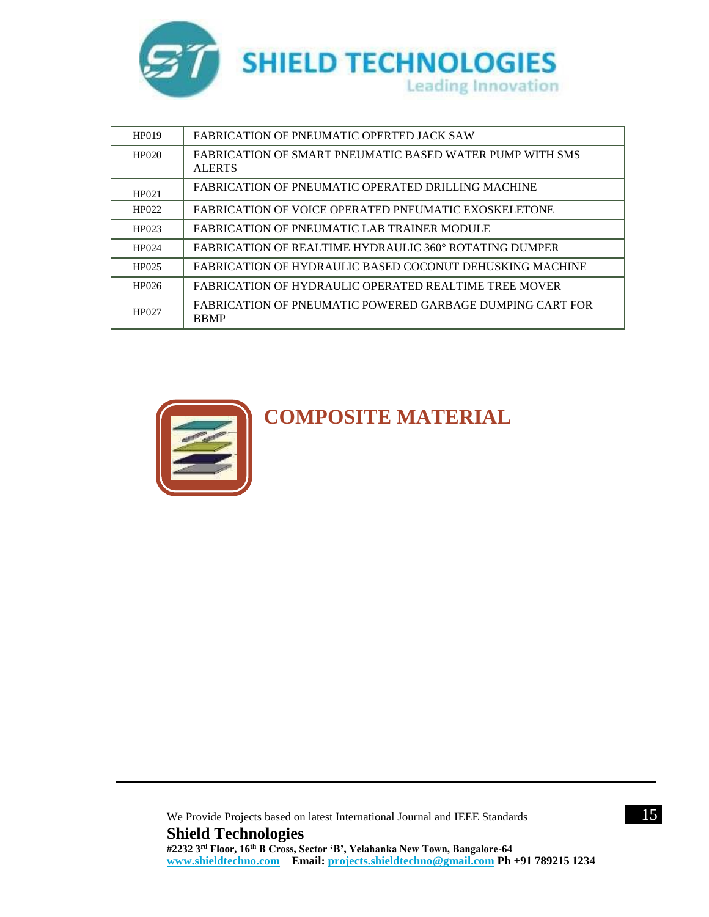

| HP019 | FABRICATION OF PNEUMATIC OPERTED JACK SAW                                 |
|-------|---------------------------------------------------------------------------|
| HP020 | FABRICATION OF SMART PNEUMATIC BASED WATER PUMP WITH SMS<br><b>ALERTS</b> |
| HP021 | <b>FABRICATION OF PNEUMATIC OPERATED DRILLING MACHINE</b>                 |
| HP022 | FABRICATION OF VOICE OPERATED PNEUMATIC EXOSKELETONE                      |
| HP023 | FABRICATION OF PNEUMATIC LAB TRAINER MODULE                               |
| HP024 | FABRICATION OF REALTIME HYDRAULIC 360° ROTATING DUMPER                    |
| HP025 | FABRICATION OF HYDRAULIC BASED COCONUT DEHUSKING MACHINE                  |
| HP026 | <b>FABRICATION OF HYDRAULIC OPERATED REALTIME TREE MOVER</b>              |
| HP027 | FABRICATION OF PNEUMATIC POWERED GARBAGE DUMPING CART FOR<br><b>BBMP</b>  |



**COMPOSITE MATERIAL**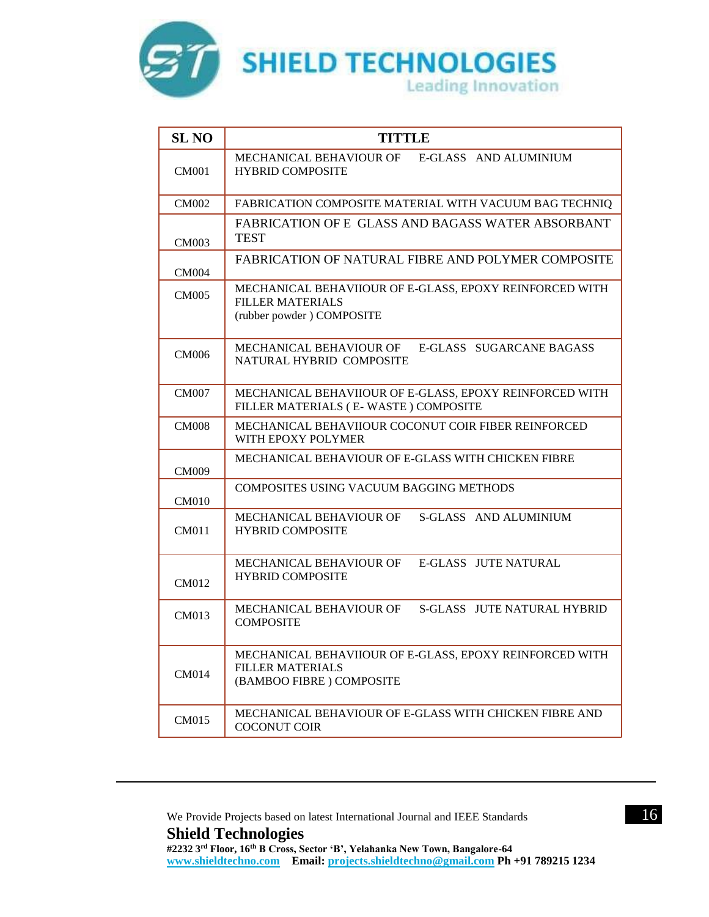

| <b>SL NO</b> | <b>TITTLE</b>                                                                                                   |
|--------------|-----------------------------------------------------------------------------------------------------------------|
| <b>CM001</b> | MECHANICAL BEHAVIOUR OF E-GLASS AND ALUMINIUM<br><b>HYBRID COMPOSITE</b>                                        |
| <b>CM002</b> | FABRICATION COMPOSITE MATERIAL WITH VACUUM BAG TECHNIQ                                                          |
| <b>CM003</b> | FABRICATION OF E GLASS AND BAGASS WATER ABSORBANT<br><b>TEST</b>                                                |
| <b>CM004</b> | FABRICATION OF NATURAL FIBRE AND POLYMER COMPOSITE                                                              |
| <b>CM005</b> | MECHANICAL BEHAVIIOUR OF E-GLASS, EPOXY REINFORCED WITH<br><b>FILLER MATERIALS</b><br>(rubber powder) COMPOSITE |
| <b>CM006</b> | MECHANICAL BEHAVIOUR OF<br>E-GLASS SUGARCANE BAGASS<br>NATURAL HYBRID COMPOSITE                                 |
| <b>CM007</b> | MECHANICAL BEHAVIIOUR OF E-GLASS, EPOXY REINFORCED WITH<br>FILLER MATERIALS (E-WASTE) COMPOSITE                 |
| <b>CM008</b> | MECHANICAL BEHAVIIOUR COCONUT COIR FIBER REINFORCED<br>WITH EPOXY POLYMER                                       |
| <b>CM009</b> | MECHANICAL BEHAVIOUR OF E-GLASS WITH CHICKEN FIBRE                                                              |
| <b>CM010</b> | COMPOSITES USING VACUUM BAGGING METHODS                                                                         |
| <b>CM011</b> | S-GLASS AND ALUMINIUM<br>MECHANICAL BEHAVIOUR OF<br><b>HYBRID COMPOSITE</b>                                     |
| CM012        | E-GLASS JUTE NATURAL<br><b>MECHANICAL BEHAVIOUR OF</b><br><b>HYBRID COMPOSITE</b>                               |
| CM013        | MECHANICAL BEHAVIOUR OF<br>S-GLASS JUTE NATURAL HYBRID<br><b>COMPOSITE</b>                                      |
| <b>CM014</b> | MECHANICAL BEHAVIIOUR OF E-GLASS, EPOXY REINFORCED WITH<br><b>FILLER MATERIALS</b><br>(BAMBOO FIBRE) COMPOSITE  |
| <b>CM015</b> | MECHANICAL BEHAVIOUR OF E-GLASS WITH CHICKEN FIBRE AND<br><b>COCONUT COIR</b>                                   |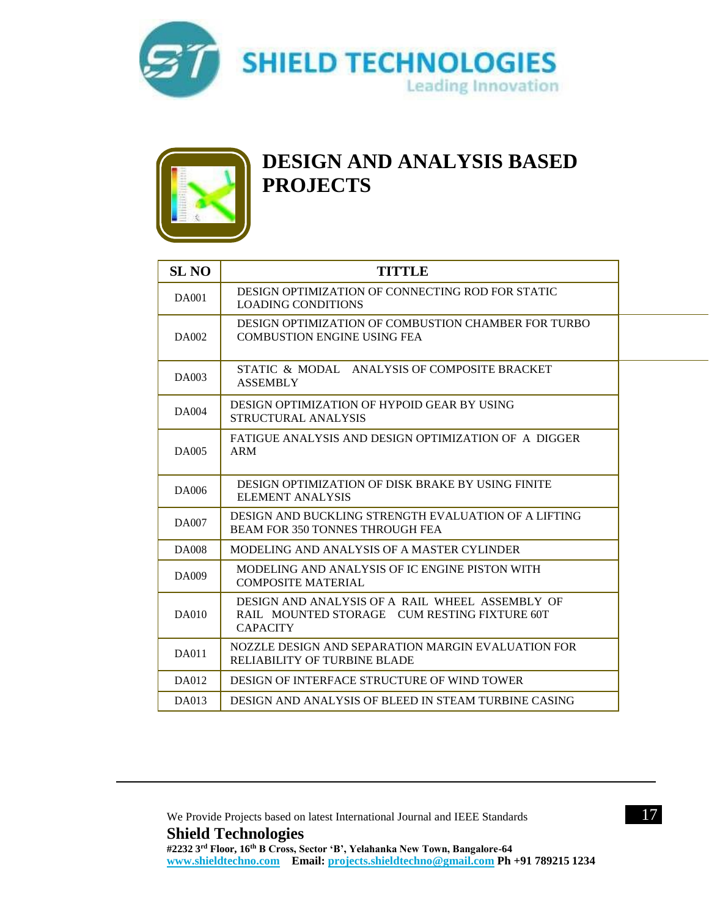



#### **DESIGN AND ANALYSIS BASED PROJECTS**

| <b>SL NO</b> | <b>TITTLE</b>                                                                                                      |
|--------------|--------------------------------------------------------------------------------------------------------------------|
| <b>DA001</b> | DESIGN OPTIMIZATION OF CONNECTING ROD FOR STATIC<br><b>LOADING CONDITIONS</b>                                      |
| DA002        | DESIGN OPTIMIZATION OF COMBUSTION CHAMBER FOR TURBO<br><b>COMBUSTION ENGINE USING FEA</b>                          |
| DA003        | STATIC & MODAL ANALYSIS OF COMPOSITE BRACKET<br><b>ASSEMBLY</b>                                                    |
| <b>DA004</b> | DESIGN OPTIMIZATION OF HYPOID GEAR BY USING<br>STRUCTURAL ANALYSIS                                                 |
| DA005        | FATIGUE ANALYSIS AND DESIGN OPTIMIZATION OF A DIGGER<br><b>ARM</b>                                                 |
| DA006        | DESIGN OPTIMIZATION OF DISK BRAKE BY USING FINITE<br><b>ELEMENT ANALYSIS</b>                                       |
| <b>DA007</b> | DESIGN AND BUCKLING STRENGTH EVALUATION OF A LIFTING<br><b>BEAM FOR 350 TONNES THROUGH FEA</b>                     |
| <b>DA008</b> | MODELING AND ANALYSIS OF A MASTER CYLINDER                                                                         |
| DA009        | MODELING AND ANALYSIS OF IC ENGINE PISTON WITH<br><b>COMPOSITE MATERIAL</b>                                        |
| DA010        | DESIGN AND ANALYSIS OF A RAIL WHEEL ASSEMBLY OF<br>RAIL MOUNTED STORAGE CUM RESTING FIXTURE 60T<br><b>CAPACITY</b> |
| <b>DA011</b> | NOZZLE DESIGN AND SEPARATION MARGIN EVALUATION FOR<br>RELIABILITY OF TURBINE BLADE                                 |
| DA012        | DESIGN OF INTERFACE STRUCTURE OF WIND TOWER                                                                        |
| DA013        | DESIGN AND ANALYSIS OF BLEED IN STEAM TURBINE CASING                                                               |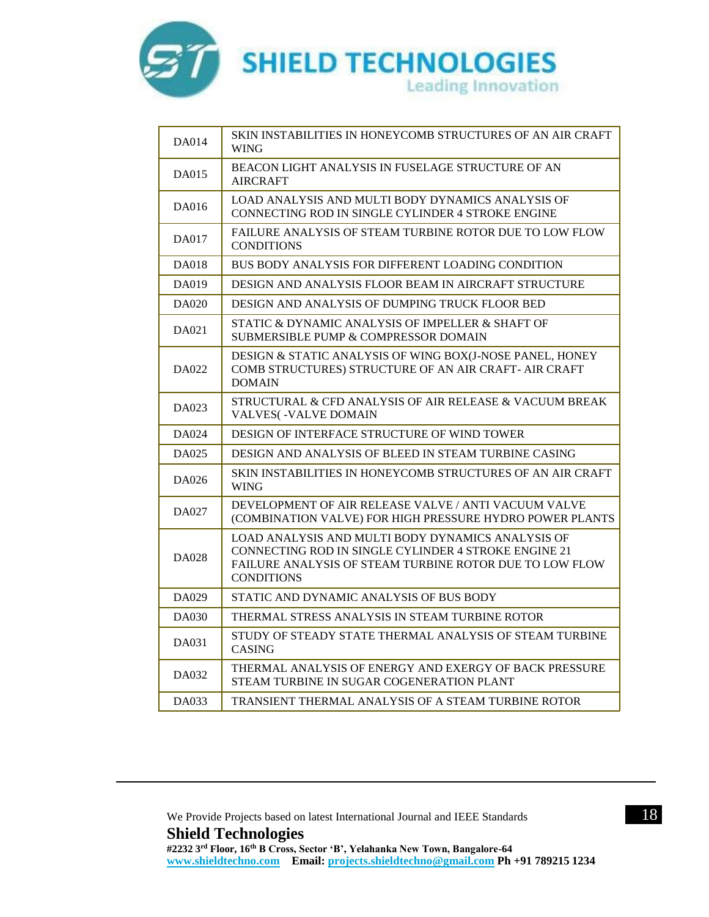

| DA014        | SKIN INSTABILITIES IN HONEYCOMB STRUCTURES OF AN AIR CRAFT<br><b>WING</b>                                                                                                                        |
|--------------|--------------------------------------------------------------------------------------------------------------------------------------------------------------------------------------------------|
| DA015        | BEACON LIGHT ANALYSIS IN FUSELAGE STRUCTURE OF AN<br><b>AIRCRAFT</b>                                                                                                                             |
| DA016        | LOAD ANALYSIS AND MULTI BODY DYNAMICS ANALYSIS OF<br>CONNECTING ROD IN SINGLE CYLINDER 4 STROKE ENGINE                                                                                           |
| <b>DA017</b> | FAILURE ANALYSIS OF STEAM TURBINE ROTOR DUE TO LOW FLOW<br><b>CONDITIONS</b>                                                                                                                     |
| DA018        | BUS BODY ANALYSIS FOR DIFFERENT LOADING CONDITION                                                                                                                                                |
| DA019        | DESIGN AND ANALYSIS FLOOR BEAM IN AIRCRAFT STRUCTURE                                                                                                                                             |
| DA020        | <b>DESIGN AND ANALYSIS OF DUMPING TRUCK FLOOR BED</b>                                                                                                                                            |
| DA021        | STATIC & DYNAMIC ANALYSIS OF IMPELLER & SHAFT OF<br>SUBMERSIBLE PUMP & COMPRESSOR DOMAIN                                                                                                         |
| DA022        | DESIGN & STATIC ANALYSIS OF WING BOX(J-NOSE PANEL, HONEY<br>COMB STRUCTURES) STRUCTURE OF AN AIR CRAFT- AIR CRAFT<br><b>DOMAIN</b>                                                               |
| DA023        | STRUCTURAL & CFD ANALYSIS OF AIR RELEASE & VACUUM BREAK<br><b>VALVES(-VALVE DOMAIN</b>                                                                                                           |
| DA024        | DESIGN OF INTERFACE STRUCTURE OF WIND TOWER                                                                                                                                                      |
| DA025        | DESIGN AND ANALYSIS OF BLEED IN STEAM TURBINE CASING                                                                                                                                             |
| DA026        | SKIN INSTABILITIES IN HONEYCOMB STRUCTURES OF AN AIR CRAFT<br><b>WING</b>                                                                                                                        |
| DA027        | DEVELOPMENT OF AIR RELEASE VALVE / ANTI VACUUM VALVE<br>(COMBINATION VALVE) FOR HIGH PRESSURE HYDRO POWER PLANTS                                                                                 |
| DA028        | LOAD ANALYSIS AND MULTI BODY DYNAMICS ANALYSIS OF<br>CONNECTING ROD IN SINGLE CYLINDER 4 STROKE ENGINE 21<br><b>FAILURE ANALYSIS OF STEAM TURBINE ROTOR DUE TO LOW FLOW</b><br><b>CONDITIONS</b> |
| DA029        | STATIC AND DYNAMIC ANALYSIS OF BUS BODY                                                                                                                                                          |
| DA030        | THERMAL STRESS ANALYSIS IN STEAM TURBINE ROTOR                                                                                                                                                   |
| DA031        | STUDY OF STEADY STATE THERMAL ANALYSIS OF STEAM TURBINE<br><b>CASING</b>                                                                                                                         |
| DA032        | THERMAL ANALYSIS OF ENERGY AND EXERGY OF BACK PRESSURE<br>STEAM TURBINE IN SUGAR COGENERATION PLANT                                                                                              |
| DA033        | TRANSIENT THERMAL ANALYSIS OF A STEAM TURBINE ROTOR                                                                                                                                              |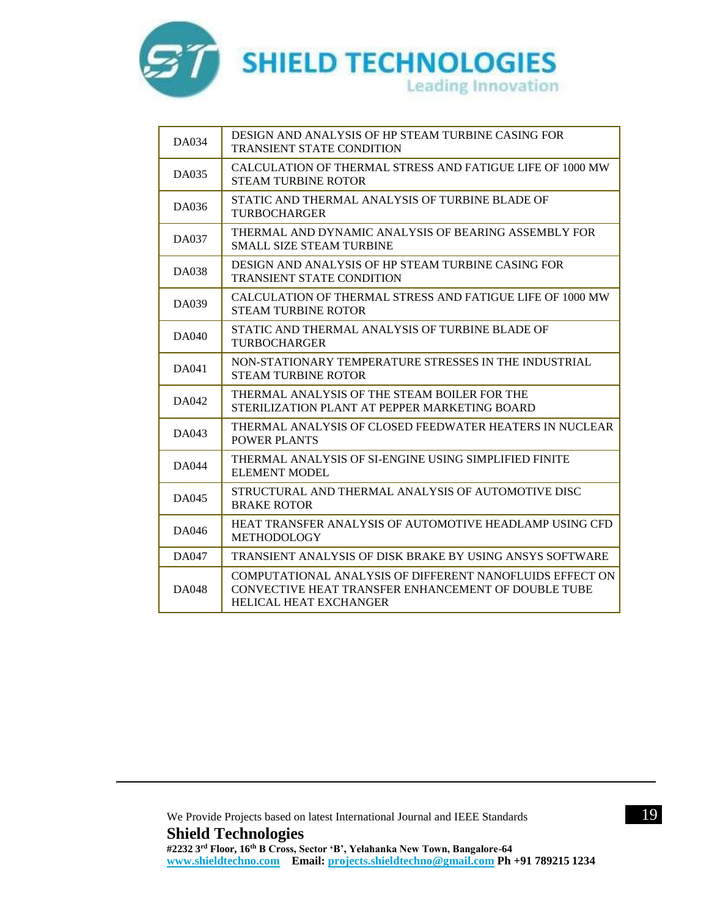

| DA034        | DESIGN AND ANALYSIS OF HP STEAM TURBINE CASING FOR<br><b>TRANSIENT STATE CONDITION</b>                                                           |
|--------------|--------------------------------------------------------------------------------------------------------------------------------------------------|
| DA035        | CALCULATION OF THERMAL STRESS AND FATIGUE LIFE OF 1000 MW<br><b>STEAM TURBINE ROTOR</b>                                                          |
| DA036        | STATIC AND THERMAL ANALYSIS OF TURBINE BLADE OF<br><b>TURBOCHARGER</b>                                                                           |
| DA037        | THERMAL AND DYNAMIC ANALYSIS OF BEARING ASSEMBLY FOR<br><b>SMALL SIZE STEAM TURBINE</b>                                                          |
| DA038        | DESIGN AND ANALYSIS OF HP STEAM TURBINE CASING FOR<br><b>TRANSIENT STATE CONDITION</b>                                                           |
| DA039        | CALCULATION OF THERMAL STRESS AND FATIGUE LIFE OF 1000 MW<br><b>STEAM TURBINE ROTOR</b>                                                          |
| DA040        | STATIC AND THERMAL ANALYSIS OF TURBINE BLADE OF<br><b>TURBOCHARGER</b>                                                                           |
| DA041        | NON-STATIONARY TEMPERATURE STRESSES IN THE INDUSTRIAL<br><b>STEAM TURBINE ROTOR</b>                                                              |
| DA042        | THERMAL ANALYSIS OF THE STEAM BOILER FOR THE<br>STERILIZATION PLANT AT PEPPER MARKETING BOARD                                                    |
| DA043        | THERMAL ANALYSIS OF CLOSED FEEDWATER HEATERS IN NUCLEAR<br><b>POWER PLANTS</b>                                                                   |
| <b>DA044</b> | THERMAL ANALYSIS OF SI-ENGINE USING SIMPLIFIED FINITE<br><b>ELEMENT MODEL</b>                                                                    |
| DA045        | STRUCTURAL AND THERMAL ANALYSIS OF AUTOMOTIVE DISC<br><b>BRAKE ROTOR</b>                                                                         |
| DA046        | HEAT TRANSFER ANALYSIS OF AUTOMOTIVE HEADLAMP USING CFD<br><b>METHODOLOGY</b>                                                                    |
| DA047        | TRANSIENT ANALYSIS OF DISK BRAKE BY USING ANSYS SOFTWARE                                                                                         |
| <b>DA048</b> | COMPUTATIONAL ANALYSIS OF DIFFERENT NANOFLUIDS EFFECT ON<br>CONVECTIVE HEAT TRANSFER ENHANCEMENT OF DOUBLE TUBE<br><b>HELICAL HEAT EXCHANGER</b> |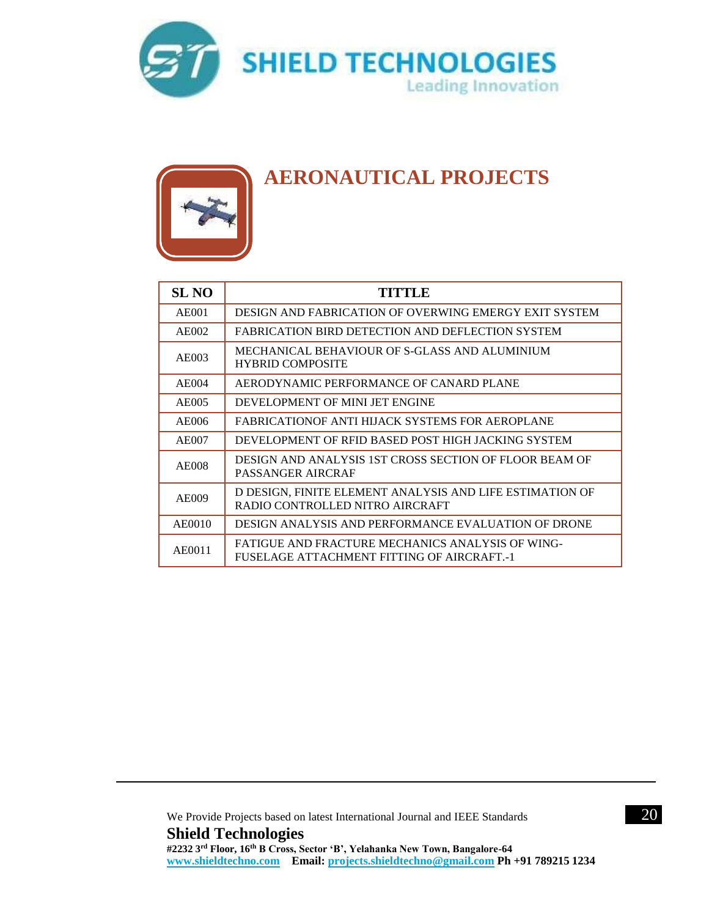



#### **AERONAUTICAL PROJECTS**

| <b>SL NO</b>       | TITTLE                                                                                         |
|--------------------|------------------------------------------------------------------------------------------------|
| AE001              | DESIGN AND FABRICATION OF OVERWING EMERGY EXIT SYSTEM                                          |
| AE002              | FABRICATION BIRD DETECTION AND DEFLECTION SYSTEM                                               |
| AE003              | MECHANICAL BEHAVIOUR OF S-GLASS AND ALUMINIUM<br><b>HYBRID COMPOSITE</b>                       |
| AE004              | AERODYNAMIC PERFORMANCE OF CANARD PLANE                                                        |
| AE005              | DEVELOPMENT OF MINI JET ENGINE                                                                 |
| A E <sub>006</sub> | FABRICATIONOF ANTI HIJACK SYSTEMS FOR AEROPLANE                                                |
| <b>AE007</b>       | DEVELOPMENT OF RFID BASED POST HIGH JACKING SYSTEM                                             |
| AE008              | DESIGN AND ANALYSIS 1ST CROSS SECTION OF FLOOR BEAM OF<br>PASSANGER AIRCRAF                    |
| <b>AE009</b>       | D DESIGN, FINITE ELEMENT ANALYSIS AND LIFE ESTIMATION OF<br>RADIO CONTROLLED NITRO AIRCRAFT    |
| AE0010             | DESIGN ANALYSIS AND PERFORMANCE EVALUATION OF DRONE                                            |
| AE0011             | FATIGUE AND FRACTURE MECHANICS ANALYSIS OF WING-<br>FUSELAGE ATTACHMENT FITTING OF AIRCRAFT.-1 |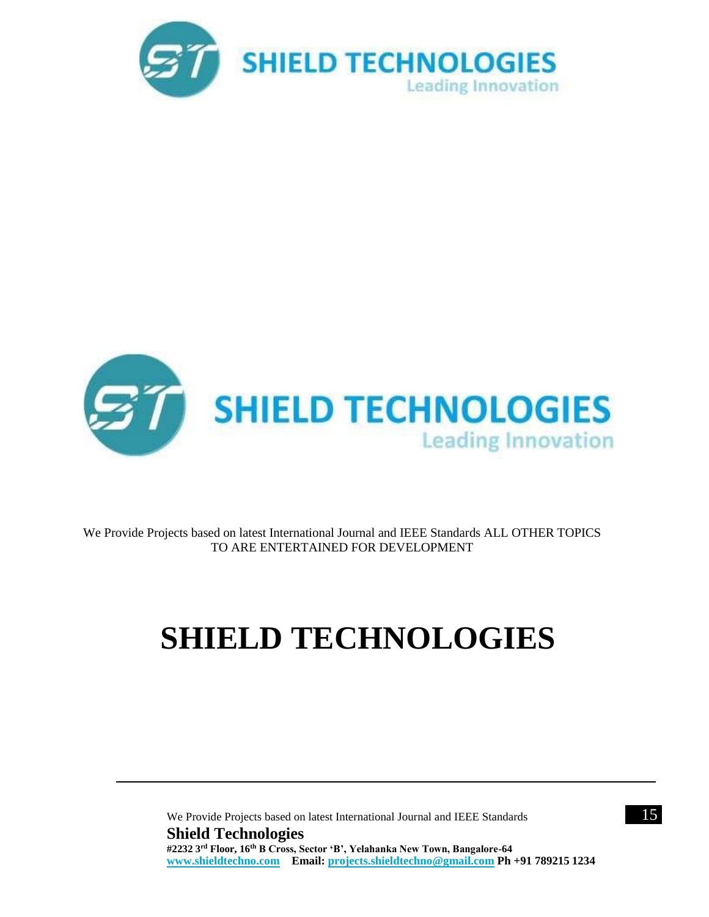



We Provide Projects based on latest International Journal and IEEE Standards ALL OTHER TOPICS TO ARE ENTERTAINED FOR DEVELOPMENT

# **SHIELD TECHNOLOGIES**

We Provide Projects based on latest International Journal and IEEE Standards 15 **Shield Technologies #2232 3rd Floor, 16th B Cross, Sector 'B', Yelahanka New Town, Bangalore-64 [www.shieldtechno.com](http://www.shieldtechno.com/) Email: [projects.shieldtechno@gmail.com](mailto:projects.shieldtechno@gmail.com) Ph +91 789215 1234**